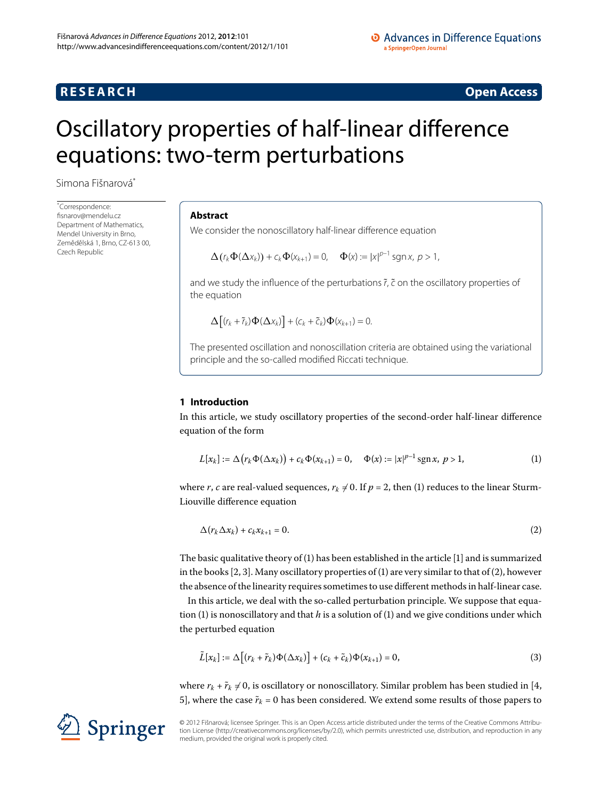# **RESEARCH RESEARCH** *RESEARCH*

# <span id="page-0-0"></span>Oscillatory properties of half-linear difference equations: two-term perturbations

Simona Fišnarov[á\\*](#page-0-0)

\* Correspondence: [fisnarov@mendelu.cz](mailto:fisnarov@mendelu.cz) Department of Mathematics Mendel University in Brno, Zemědělská 1, Brno, CZ-613 00, Czech Republic

#### **Abstract**

We consider the nonoscillatory half-linear difference equation

$$
\Delta\big(r_k\Phi(\Delta x_k)\big)+c_k\Phi(x_{k+1})=0,\quad \Phi(x):=|x|^{p-1}\operatorname{sgn}x,\,p>1,
$$

and we study the influence of the perturbations  $\tilde{r}$ ,  $\tilde{c}$  on the oscillatory properties of the equation

<span id="page-0-1"></span>
$$
\Delta\big[(r_k+\widetilde{r}_k)\Phi(\Delta x_k)\big]+(c_k+\widetilde{c}_k)\Phi(x_{k+1})=0.
$$

The presented oscillation and nonoscillation criteria are obtained using the variational principle and the so-called modified Riccati technique.

### **1 Introduction**

In this article, we study oscillatory properties of the second-order half-linear difference equation of the form

<span id="page-0-2"></span>
$$
L[x_k] := \Delta(r_k \Phi(\Delta x_k)) + c_k \Phi(x_{k+1}) = 0, \quad \Phi(x) := |x|^{p-1} \operatorname{sgn} x, \ p > 1,
$$
 (1)

where *r*, *c* are real-valued sequences,  $r_k \neq 0$ . If  $p = 2$ , then [\(](#page-0-1)1) reduces to the linear Sturm-Liouville difference equation

<span id="page-0-3"></span>
$$
\Delta(r_k \Delta x_k) + c_k x_{k+1} = 0. \tag{2}
$$

The basic qualitative theory of  $(1)$  $(1)$  has been established in the article  $[1]$  $[1]$  and is summarized in the books  $[2, 3]$  $[2, 3]$  $[2, 3]$ . Many oscillatory properties of (1[\)](#page-0-1) are very similar to that of [\(](#page-0-2)2), however the absence of the linearity requires sometimes to use different methods in half-linear case.

In this article, we deal with the so-called perturbation principle. We suppose that equa-tion [\(](#page-0-1)1) is nonoscillatory and that  $h$  is a solution of (1) and we give conditions under which the perturbed equation

$$
\tilde{L}[x_k] := \Delta \big[ (r_k + \tilde{r}_k) \Phi(\Delta x_k) \big] + (c_k + \tilde{c}_k) \Phi(x_{k+1}) = 0, \tag{3}
$$

where  $r_k + \tilde{r}_k \neq 0$ , is oscillatory or nonoscillatory. Similar problem has been studied in [4, 5], where the case  $\tilde{r}_k$  = 0 has been considered. We extend some results of those papers to



© 2012 Fišnarová; licensee Springer. This is an Open Access article distributed under the terms of the Creative Commons Attribution License ([http://creativecommons.org/licenses/by/2.0\)](http://creativecommons.org/licenses/by/2.0), which permits unrestricted use, distribution, and reproduction in any medium, provided the original work is properly cited.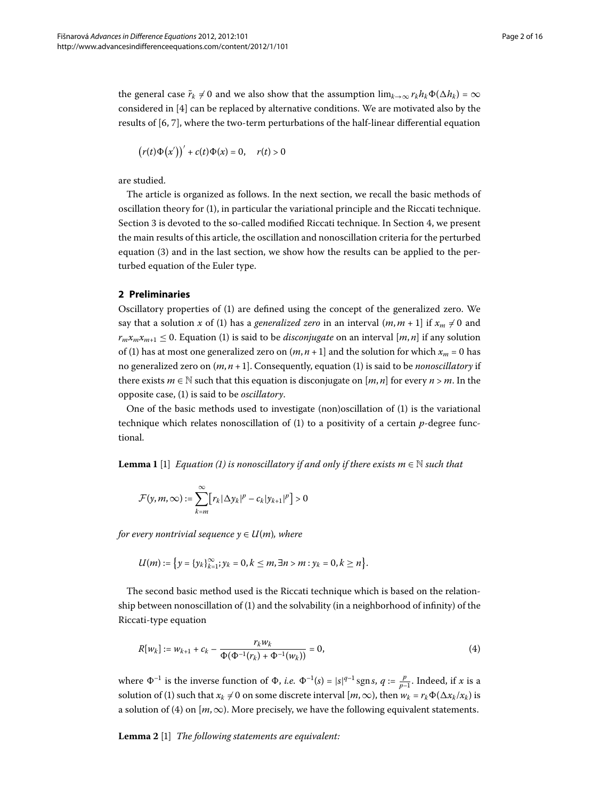the general case  $\tilde{r}_k \neq 0$  and we also show that the assumption  $\lim_{k\to\infty} r_k h_k \Phi(\Delta h_k) = \infty$ considered in  $[4]$  can be replaced by alternative conditions. We are motivated also by the results of  $[6, 7]$ , where the two-term perturbations of the half-linear differential equation

$$
(r(t)\Phi(x'))' + c(t)\Phi(x) = 0, \quad r(t) > 0
$$

are studied.

The article is organized as follows. In the next section, we recall the basic methods of oscillation theory for [\(](#page-0-1)), in particular the variational principle and the Riccati technique. Section 3 is devoted to the so-called modified Riccati technique. In Section 4[,](#page-5-0) we present the main results of this article, the oscillation and nonoscillation criteria for the perturbed equation  $(3)$  $(3)$  and in the last section, we show how the results can be applied to the perturbed equation of the Euler type.

#### **2 Preliminaries**

Oscillatory properties of (1[\)](#page-0-1) are defined using the concept of the generalized zero. We say that a solution  $x$  of [\(](#page-0-1)1) has a *generalized zero* in an interval  $(m, m + 1]$  if  $x_m \neq 0$  and  $r_m x_m x_{m+1} \leq 0$ . Equation (1[\)](#page-0-1) is said to be *disconjugate* on an interval [*m*, *n*] if any solution of (1) has at most one generalized zero on  $(m, n + 1]$  and the solution for which  $x_m = 0$  has no generalized zero on  $(m, n + 1]$ . Consequently, equation (1[\)](#page-0-1) is said to be *nonoscillatory* if there exists  $m \in \mathbb{N}$  such that this equation is disconjugate on [ $m$ ,  $n$ ] for every  $n > m$ . In the opposite case, () is said to be *oscillatory*.

<span id="page-1-1"></span>One of the basic methods used to investigate (non[\)](#page-0-1)oscillation of  $(1)$  is the variational technique which relates nonoscillation of  $(1)$  $(1)$  to a positivity of a certain  $p$ -degree functional.

**Lemma 1** [\[](#page-14-0)1] *Equation (1) is nonoscillatory if and only if there exists*  $m \in \mathbb{N}$  *such that* 

$$
\mathcal{F}(y,m,\infty):=\sum_{k=m}^{\infty}[r_k|\Delta y_k|^p-c_k|y_{k+1}|^p]>0
$$

*for every nontrivial sequence*  $y \in U(m)$ *, where* 

<span id="page-1-0"></span>
$$
U(m) := \{ y = \{ y_k \}_{k=1}^{\infty}; y_k = 0, k \leq m, \exists n > m : y_k = 0, k \geq n \}.
$$

The second basic method used is the Riccati technique which is based on the relation-ship between nonoscillation of [\(](#page-0-1)1) and the solvability (in a neighborhood of infinity) of the Riccati-type equation

<span id="page-1-2"></span>
$$
R[w_k] := w_{k+1} + c_k - \frac{r_k w_k}{\Phi(\Phi^{-1}(r_k) + \Phi^{-1}(w_k))} = 0,
$$
\n(4)

where  $\Phi^{-1}$  is the inverse function of  $\Phi$ , *i.e.*  $\Phi^{-1}(s) = |s|^{q-1} \text{sgn } s$ ,  $q := \frac{p}{p-1}$ . Indeed, if *x* is a solution of [\(](#page-0-1)1) such that  $x_k \neq 0$  on some discrete interval  $[m, \infty)$ , then  $w_k = r_k \Phi(\Delta x_k/x_k)$  is a solution of (4) on  $[m,\infty)$ . More precisely, we have the following equivalent statements.

Lemma 2 [1] *The following statements are equivalent:*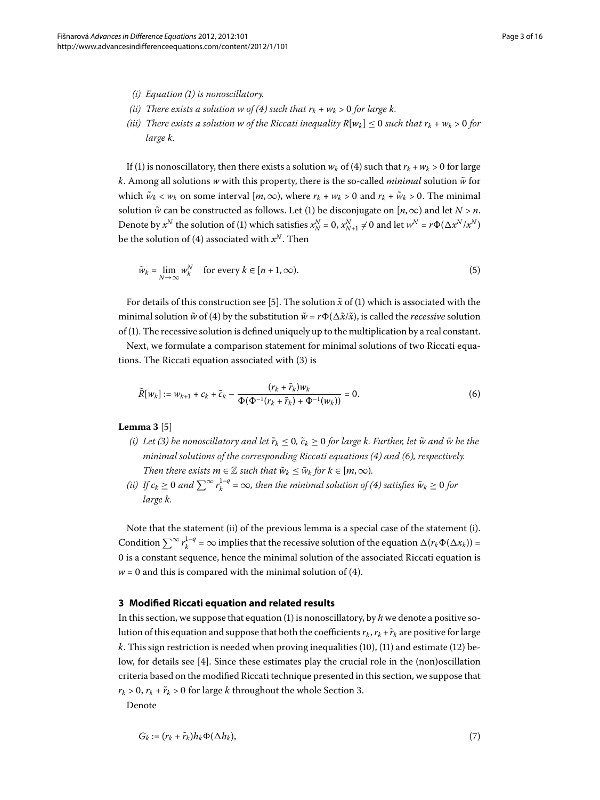- *(i) Equation ([\)](#page-0-1) is nonoscillatory.*
- *(ii)* There exists a solution *w* of (4) such that  $r_k + w_k > 0$  for large k.
- *(iii)* There exists a solution *w* of the Riccati inequality  $R[w_k] \leq 0$  such that  $r_k + w_k > 0$  for *large k.*

If (1[\)](#page-0-1) is nonoscillatory, then there exists a solution  $w_k$  of (4) such that  $r_k + w_k > 0$  for large *k*. Among all solutions *w* with this property, there is the so-called *minimal* solution  $\tilde{w}$  for which  $\tilde{w}_k < w_k$  on some interval  $[m, \infty)$ , where  $r_k + w_k > 0$  and  $r_k + \tilde{w}_k > 0$ . The minimal solution  $\tilde{w}$  can be constructed as follows. Let (1[\)](#page-0-1) be disconjugate on [ $n$ ,  $\infty$ ) and let  $N > n$ . Denote by  $x^N$  the solution of [\(](#page-0-1)1) which satisfies  $x^N_N = 0$ ,  $x^N_{N+1} \neq 0$  and let  $w^N = r\Phi(\Delta x^N/x^N)$ be the solution of (4) associated with  $x^N$ . Then

<span id="page-2-2"></span><span id="page-2-1"></span>
$$
\tilde{w}_k = \lim_{N \to \infty} w_k^N \quad \text{for every } k \in [n+1, \infty). \tag{5}
$$

For details of this construction see [\[](#page-14-4)5]. The solution  $\tilde{x}$  of (1) which is associated with the minimal solution  $\tilde{w}$  of (4) by the substitution  $\tilde{w} = r\Phi(\Delta \tilde{x}/\tilde{x})$ , is called the *recessive* solution of [\(\)](#page-0-1). The recessive solution is defined uniquely up to the multiplication by a real constant.

<span id="page-2-3"></span>Next, we formulate a comparison statement for minimal solutions of two Riccati equations. The Riccati equation associated with  $(3)$  $(3)$  is

$$
\tilde{R}[w_k] := w_{k+1} + c_k + \tilde{c}_k - \frac{(r_k + \tilde{r}_k)w_k}{\Phi(\Phi^{-1}(r_k + \tilde{r}_k) + \Phi^{-1}(w_k))} = 0.
$$
\n(6)

#### **Lemma 3** [5[\]](#page-14-4)

- *[\(](#page-0-3)i)* Let (3) be nonoscillatory and let  $\tilde{r}_k \leq 0$ ,  $\tilde{c}_k \geq 0$  for large k. Further, let  $\tilde{w}$  and  $\bar{w}$  be the *minimal solutions of the corresponding Riccati equations (4) and (6), respectively. Then there exists*  $m \in \mathbb{Z}$  *such that*  $\tilde{w}_k \leq \tilde{w}_k$  *for*  $k \in [m, \infty)$ *.*
- *(ii)* If  $c_k \ge 0$  and  $\sum^{\infty} r_k^{1-q} = \infty$ , then the minimal solution of (4) satisfies  $\tilde{w}_k \ge 0$  for *large k.*

<span id="page-2-0"></span>Note that the statement (ii) of the previous lemma is a special case of the statement (i). Condition  $\sum^{\infty} r_k^{1-q} = \infty$  implies that the recessive solution of the equation  $\Delta(r_k \Phi(\Delta x_k)) =$ 0 is a constant sequence, hence the minimal solution of the associated Riccati equation is  $w = 0$  and this is compared with the minimal solution of (4[\)](#page-1-0).

#### **3 Modified Riccati equation and related results**

In this section, we suppose that equation  $(1)$  $(1)$  is nonoscillatory, by *h* we denote a positive solution of this equation and suppose that both the coefficients  $r_k$ ,  $r_k + \tilde{r}_k$  are positive for large  $k$ . This sign restriction is needed when proving inequalities (10[\)](#page-4-0), (11) and estimate (12) be-low, for details see [\[](#page-14-3)4]. Since these estimates play the crucial role in the (non)oscillation criteria based on the modified Riccati technique presented in this section, we suppose that  $r_k$  > 0,  $r_k$  +  $\tilde{r}_k$  > 0 for large *k* throughout the whole Section 3. Denote

$$
G_k := (r_k + \tilde{r}_k)h_k \Phi(\Delta h_k),\tag{7}
$$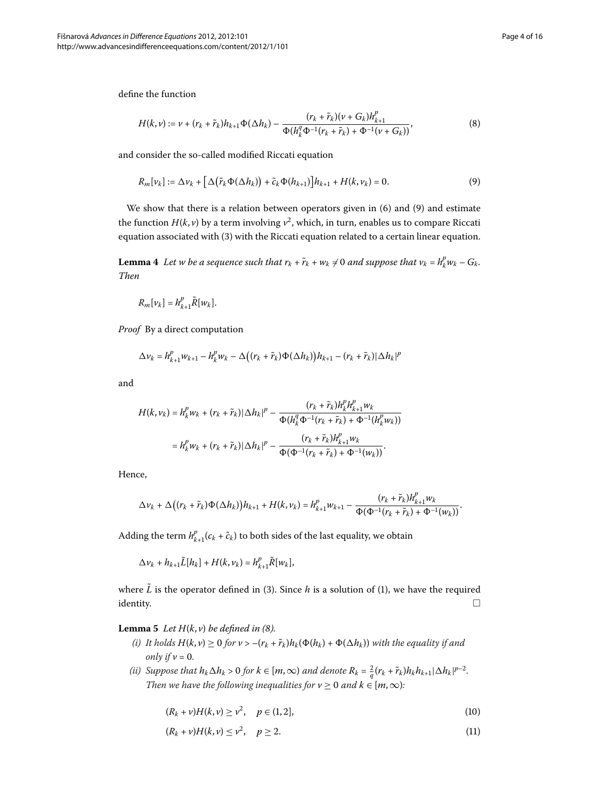define the function

<span id="page-3-3"></span><span id="page-3-2"></span>
$$
H(k,\nu) := \nu + (r_k + \tilde{r}_k)h_{k+1}\Phi(\Delta h_k) - \frac{(r_k + \tilde{r}_k)(\nu + G_k)h_{k+1}^p}{\Phi(h_k^q \Phi^{-1}(r_k + \tilde{r}_k) + \Phi^{-1}(\nu + G_k))},
$$
\n(8)

<span id="page-3-5"></span>and consider the so-called modified Riccati equation

$$
R_m[\nu_k] := \Delta \nu_k + \left[ \Delta \left( \tilde{r}_k \Phi(\Delta h_k) \right) + \tilde{c}_k \Phi(h_{k+1}) \right] h_{k+1} + H(k, \nu_k) = 0. \tag{9}
$$

We show that there is a relation between operators given in  $(6)$  $(6)$  and  $(9)$  and estimate the function  $H(k, v)$  by a term involving  $v^2$ , which, in turn, enables us to compare Riccati equation associated with (3[\)](#page-0-3) with the Riccati equation related to a certain linear equation.

**Lemma 4** Let w be a sequence such that  $r_k + \tilde{r}_k + w_k \neq 0$  and suppose that  $v_k = h_k^p w_k - G_k$ . *Then*

$$
R_m[v_k] = h_{k+1}^p \tilde{R}[w_k].
$$

*Proof* By a direct computation

$$
\Delta v_k = h_{k+1}^p w_{k+1} - h_k^p w_k - \Delta ((r_k+\tilde{r}_k) \Phi(\Delta h_k))h_{k+1} - (r_k+\tilde{r}_k)|\Delta h_k|^p
$$

and

$$
H(k, v_k) = h_k^p w_k + (r_k + \tilde{r}_k) |\Delta h_k|^p - \frac{(r_k + \tilde{r}_k) h_k^p h_{k+1}^p w_k}{\Phi(h_k^q \Phi^{-1}(r_k + \tilde{r}_k) + \Phi^{-1}(h_k^p w_k))}
$$
  
=  $h_k^p w_k + (r_k + \tilde{r}_k) |\Delta h_k|^p - \frac{(r_k + \tilde{r}_k) h_{k+1}^p w_k}{\Phi(\Phi^{-1}(r_k + \tilde{r}_k) + \Phi^{-1}(w_k))}.$ 

Hence,

$$
\Delta v_k+\Delta\big((r_k+\tilde{r}_k)\Phi(\Delta h_k)\big)h_{k+1}+H(k,v_k)=h_{k+1}^pw_{k+1}-\frac{(r_k+\tilde{r}_k)h_{k+1}^pw_k}{\Phi(\Phi^{-1}(r_k+\tilde{r}_k)+\Phi^{-1}(w_k))}.
$$

<span id="page-3-4"></span>Adding the term  $h_{k+1}^p(c_k + \tilde{c}_k)$  to both sides of the last equality, we obtain

 $\Delta v_k + h_{k+1}\tilde{L}[h_k] + H(k, v_k) = h_{k+1}^p \tilde{R}[w_k],$ 

where  $\tilde{L}$  is the operator defined in (3[\)](#page-0-3). Since *h* is a solution of [\(](#page-0-1)1), we have the required identity.  $\qquad \qquad \Box$ 

**Lemma 5** Let  $H(k, v)$  be defined in (8).

- *(i)* It holds  $H(k, v) \ge 0$  for  $v > -(r_k + \tilde{r}_k)h_k(\Phi(h_k) + \Phi(\Delta h_k))$  with the equality if and *only if*  $v = 0$ *.*
- *(ii)* Suppose that  $h_k \Delta h_k > 0$  for  $k \in [m, \infty)$  and denote  $R_k = \frac{2}{q} (r_k + \tilde{r}_k) h_k h_{k+1} |\Delta h_k|^{p-2}$ . *Then we have the following inequalities for*  $v \ge 0$  *and*  $k \in [m, \infty)$ *:*

<span id="page-3-1"></span><span id="page-3-0"></span>
$$
(R_k + \nu)H(k, \nu) \ge \nu^2, \quad p \in (1, 2], \tag{10}
$$

$$
(R_k + \nu)H(k, \nu) \le \nu^2, \quad p \ge 2. \tag{11}
$$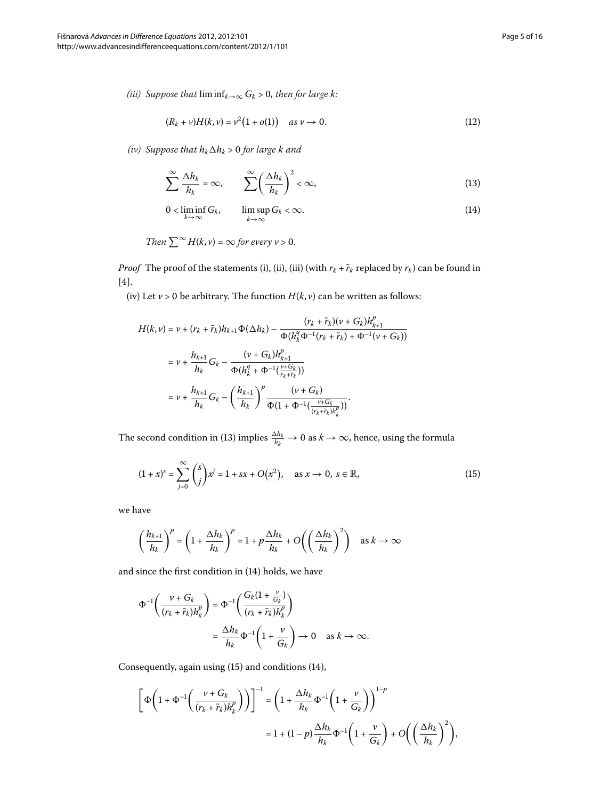*(iii)* Suppose that  $\liminf_{k\to\infty} G_k > 0$ , then for large k:

<span id="page-4-2"></span><span id="page-4-1"></span><span id="page-4-0"></span>
$$
(R_k + \nu)H(k, \nu) = \nu^2(1 + o(1)) \quad \text{as } \nu \to 0.
$$
 (12)

*(iv) Suppose that*  $h_k \Delta h_k$  *> 0 for large*  $k$  *and* 

$$
\sum_{k=1}^{\infty} \frac{\Delta h_k}{h_k} = \infty, \qquad \sum_{k=1}^{\infty} \left( \frac{\Delta h_k}{h_k} \right)^2 < \infty,
$$
\n<sup>(13)</sup>

$$
0 < \liminf_{k \to \infty} G_k, \qquad \limsup_{k \to \infty} G_k < \infty. \tag{14}
$$

Then 
$$
\sum^{\infty} H(k, v) = \infty
$$
 for every  $v > 0$ .

*Proof* The proof of the statements (i), (ii), (iii) (with  $r_k + \tilde{r}_k$  replaced by  $r_k$ ) can be found in  $[4].$ 

(iv) Let  $v > 0$  be arbitrary. The function  $H(k, v)$  can be written as follows:

<span id="page-4-3"></span>
$$
H(k, v) = v + (r_k + \tilde{r}_k)h_{k+1}\Phi(\Delta h_k) - \frac{(r_k + \tilde{r}_k)(v + G_k)h_{k+1}^p}{\Phi(h_k^q \Phi^{-1}(r_k + \tilde{r}_k) + \Phi^{-1}(v + G_k))}
$$
  

$$
= v + \frac{h_{k+1}}{h_k}G_k - \frac{(v + G_k)h_{k+1}^p}{\Phi(h_k^q + \Phi^{-1}(\frac{v + G_k}{r_k + \tilde{r}_k}))}
$$
  

$$
= v + \frac{h_{k+1}}{h_k}G_k - \left(\frac{h_{k+1}}{h_k}\right)^p \frac{(v + G_k)}{\Phi(1 + \Phi^{-1}(\frac{v + G_k}{(r_k + \tilde{r}_k)h_k^p}))}.
$$

The second condition in (13) implies  $\frac{\Delta h_k}{h_k} \to 0$  as  $k \to \infty$ , hence, using the formula

$$
(1+x)^s = \sum_{j=0}^{\infty} {s \choose j} x^j = 1 + sx + O(x^2), \quad \text{as } x \to 0, \ s \in \mathbb{R},
$$
 (15)

we have

$$
\left(\frac{h_{k+1}}{h_k}\right)^p = \left(1 + \frac{\Delta h_k}{h_k}\right)^p = 1 + p\frac{\Delta h_k}{h_k} + O\left(\left(\frac{\Delta h_k}{h_k}\right)^2\right) \quad \text{as } k \to \infty
$$

and since the first condition in  $(14)$  $(14)$  holds, we have

$$
\Phi^{-1}\left(\frac{\nu + G_k}{(r_k + \tilde{r}_k)h_k^p}\right) = \Phi^{-1}\left(\frac{G_k(1 + \frac{\nu}{G_k})}{(r_k + \tilde{r}_k)h_k^p}\right)
$$

$$
= \frac{\Delta h_k}{h_k} \Phi^{-1}\left(1 + \frac{\nu}{G_k}\right) \to 0 \quad \text{as } k \to \infty.
$$

Consequently, again using  $(15)$  $(15)$  $(15)$  and conditions  $(14)$ ,

$$
\[\Phi\left(1+\Phi^{-1}\left(\frac{v+G_k}{(r_k+\tilde{r}_k)h_k^p}\right)\right)\]^{-1} = \left(1+\frac{\Delta h_k}{h_k}\Phi^{-1}\left(1+\frac{v}{G_k}\right)\right)^{1-p} \n= 1 + (1-p)\frac{\Delta h_k}{h_k}\Phi^{-1}\left(1+\frac{v}{G_k}\right) + O\left(\left(\frac{\Delta h_k}{h_k}\right)^2\right),\]
$$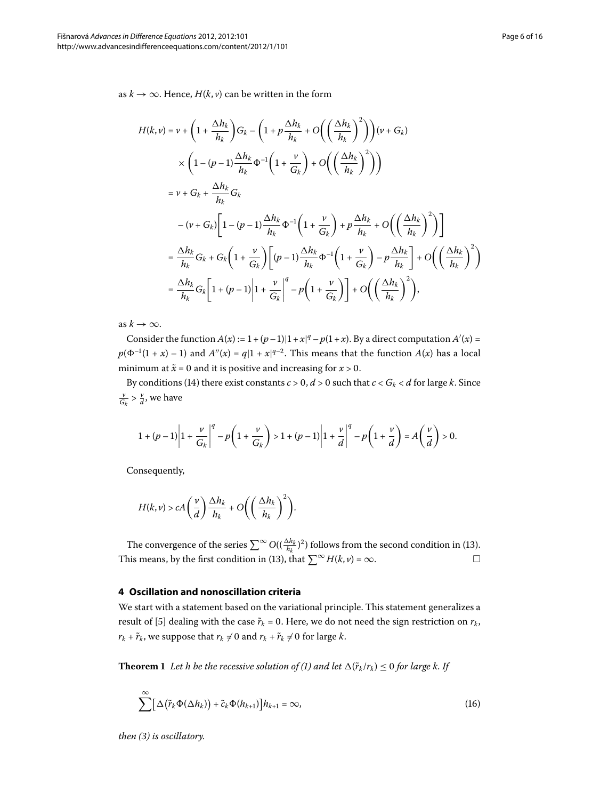as *k* → ∞. Hence, *H*(*k*, *v*) can be written in the form

$$
H(k, v) = v + \left(1 + \frac{\Delta h_k}{h_k}\right) G_k - \left(1 + p \frac{\Delta h_k}{h_k} + O\left(\left(\frac{\Delta h_k}{h_k}\right)^2\right)\right) (v + G_k)
$$
  

$$
\times \left(1 - (p - 1) \frac{\Delta h_k}{h_k} \Phi^{-1} \left(1 + \frac{v}{G_k}\right) + O\left(\left(\frac{\Delta h_k}{h_k}\right)^2\right)\right)
$$
  

$$
= v + G_k + \frac{\Delta h_k}{h_k} G_k
$$
  

$$
- (v + G_k) \left[1 - (p - 1) \frac{\Delta h_k}{h_k} \Phi^{-1} \left(1 + \frac{v}{G_k}\right) + p \frac{\Delta h_k}{h_k} + O\left(\left(\frac{\Delta h_k}{h_k}\right)^2\right)\right]
$$
  

$$
= \frac{\Delta h_k}{h_k} G_k + G_k \left(1 + \frac{v}{G_k}\right) \left[(p - 1) \frac{\Delta h_k}{h_k} \Phi^{-1} \left(1 + \frac{v}{G_k}\right) - p \frac{\Delta h_k}{h_k}\right] + O\left(\left(\frac{\Delta h_k}{h_k}\right)^2\right)
$$
  

$$
= \frac{\Delta h_k}{h_k} G_k \left[1 + (p - 1) \left|1 + \frac{v}{G_k}\right|^q - p \left(1 + \frac{v}{G_k}\right)\right] + O\left(\left(\frac{\Delta h_k}{h_k}\right)^2\right),
$$

as  $k \to \infty$ .

Consider the function  $A(x) := 1 + (p-1)|1+x|^q - p(1+x)$ . By a direct computation  $A'(x) =$  $p(\Phi^{-1}(1+x) - 1)$  and  $A''(x) = q(1+x)^{q-2}$ . This means that the function  $A(x)$  has a local minimum at  $\tilde{x} = 0$  and it is positive and increasing for  $x > 0$ .

By conditions (14) there exist constants  $c > 0$ ,  $d > 0$  such that  $c < G_k < d$  for large  $k$ . Since  $\frac{v}{G_k} > \frac{v}{d}$ , we have

$$
1+(p-1)\left|1+\frac{v}{G_k}\right|^q-p\left(1+\frac{v}{G_k}\right)>1+(p-1)\left|1+\frac{v}{d}\right|^q-p\left(1+\frac{v}{d}\right)=A\left(\frac{v}{d}\right)>0.
$$

Consequently,

$$
H(k,\nu) > cA\left(\frac{\nu}{d}\right)\frac{\Delta h_k}{h_k} + O\left(\left(\frac{\Delta h_k}{h_k}\right)^2\right).
$$

<span id="page-5-0"></span>The convergence of the series  $\sum^{\infty} O((\frac{\Delta h_k}{h_k})^2)$  $\sum^{\infty} O((\frac{\Delta h_k}{h_k})^2)$  $\sum^{\infty} O((\frac{\Delta h_k}{h_k})^2)$  follows from the second condition in (13). This means, by the first condition in (13), that  $\sum^{\infty} H(k, v) = \infty$ .

#### **4 Oscillation and nonoscillation criteria**

We start with a statement based on the variational principle. This statement generalizes a result of [5[\]](#page-14-4) dealing with the case  $\tilde{r}_k = 0$ . Here, we do not need the sign restriction on  $r_k$ ,  $r_k + \tilde{r}_k$ , we suppose that  $r_k \neq 0$  and  $r_k + \tilde{r}_k \neq 0$  for large  $k$ .

**Theorem 1** Let h be the recessive solution of (1[\)](#page-0-1) and let  $\Delta(\tilde{r}_k/r_k) \leq 0$  for large k. If

<span id="page-5-1"></span>
$$
\sum_{k=1}^{\infty} \left[ \Delta \left( \tilde{r}_{k} \Phi(\Delta h_{k}) \right) + \tilde{c}_{k} \Phi(h_{k+1}) \right] h_{k+1} = \infty, \tag{16}
$$

*then ([\)](#page-0-3) is oscillatory.*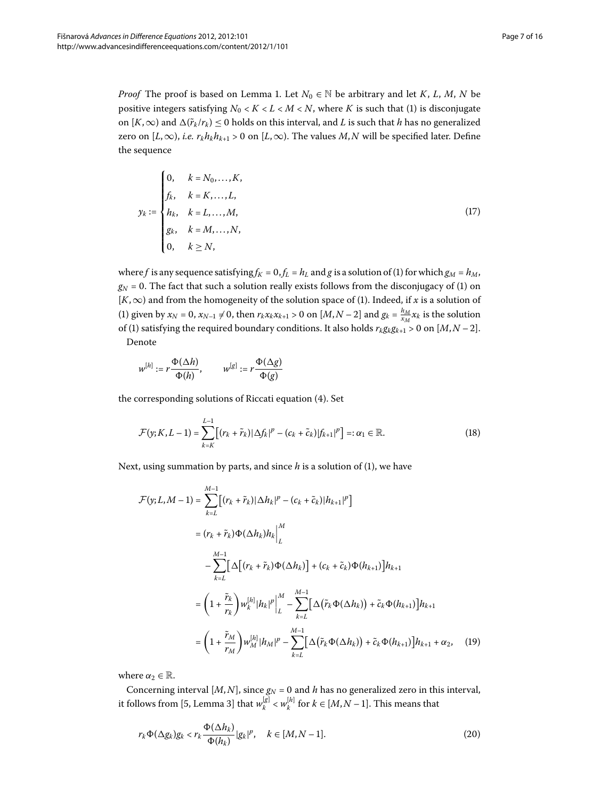*Proof* The proof is based on Lemma 1. Let  $N_0 \in \mathbb{N}$  be arbitrary and let *K*, *L*, *M*, *N* be positive integers satisfying  $N_0 < K < L < M < N$ , where *K* is such that (1[\)](#page-0-1) is disconjugate on  $[K, \infty)$  and  $\Delta(\tilde{r}_k/r_k) \leq 0$  holds on this interval, and *L* is such that *h* has no generalized zero on  $[L, \infty)$ , *i.e.*  $r_k h_k h_{k+1} > 0$  on  $[L, \infty)$ . The values *M*, *N* will be specified later. Define the sequence

$$
y_{k} := \begin{cases} 0, & k = N_{0},...,K, \\ f_{k}, & k = K,...,L, \\ h_{k}, & k = L,...,M, \\ g_{k}, & k = M,...,N, \\ 0, & k \ge N, \end{cases}
$$
(17)

where *f* is any sequence satisfying  $f_K = 0$ ,  $f_L = h_L$  and *g* is a solution of (1) for which  $g_M = h_M$ ,  $g_N$  = 0. The fact that such a solution really exists follows from the disconjugacy of (1[\)](#page-0-1) on [*K*,∞) and from the homogeneity of the solution space of ([\)](#page-0-1). Indeed, if *x* is a solution of (1[\)](#page-0-1) given by  $x_N = 0$ ,  $x_{N-1} \neq 0$ , then  $r_k x_k x_{k+1} > 0$  on  $[M, N-2]$  and  $g_k = \frac{h_M}{x_M} x_k$  is the solution of (1) satisfying the required boundary conditions. It also holds  $r_k g_k g_{k+1} > 0$  on  $[M, N-2]$ . Denote

<span id="page-6-1"></span>
$$
w^{[h]} := r \frac{\Phi(\Delta h)}{\Phi(h)}, \qquad w^{[g]} := r \frac{\Phi(\Delta g)}{\Phi(g)}
$$

the corresponding solutions of Riccati equation (4[\)](#page-1-0). Set

$$
\mathcal{F}(y;K,L-1) = \sum_{k=K}^{L-1} [(r_k + \tilde{r}_k)|\Delta f_k|^p - (c_k + \tilde{c}_k)|f_{k+1}|^p] =: \alpha_1 \in \mathbb{R}.
$$
 (18)

Next, using summation by parts, and since  $h$  is a solution of  $(1)$  $(1)$ , we have

<span id="page-6-2"></span>
$$
\mathcal{F}(y; L, M - 1) = \sum_{k=L}^{M-1} [(r_k + \tilde{r}_k)|\Delta h_k|^p - (c_k + \tilde{c}_k)|h_{k+1}|^p]
$$
  
\n
$$
= (r_k + \tilde{r}_k)\Phi(\Delta h_k)h_k \Big|_L^M
$$
  
\n
$$
- \sum_{k=L}^{M-1} [\Delta[(r_k + \tilde{r}_k)\Phi(\Delta h_k)] + (c_k + \tilde{c}_k)\Phi(h_{k+1})]h_{k+1}
$$
  
\n
$$
= (1 + \frac{\tilde{r}_k}{r_k})w_k^{[h]}|h_k|^p \Big|_L^M - \sum_{k=L}^{M-1} [\Delta(\tilde{r}_k\Phi(\Delta h_k)) + \tilde{c}_k\Phi(h_{k+1})]h_{k+1}
$$
  
\n
$$
= (1 + \frac{\tilde{r}_M}{r_M})w_M^{[h]}|h_M|^p - \sum_{k=L}^{M-1} [\Delta(\tilde{r}_k\Phi(\Delta h_k)) + \tilde{c}_k\Phi(h_{k+1})]h_{k+1} + \alpha_2, \quad (19)
$$

where  $\alpha_2 \in \mathbb{R}$ .

Concerning interval  $[M, N]$ , since  $g_N = 0$  and *h* has no generalized zero in this interval, it follows from [\[](#page-14-4)5, Lemma 3] that  $w_k^{[g]} < w_k^{[h]}$  for  $k \in [M, N-1]$ . This means that

<span id="page-6-0"></span>
$$
r_k \Phi(\Delta g_k) g_k < r_k \frac{\Phi(\Delta h_k)}{\Phi(h_k)} |g_k|^p, \quad k \in [M, N-1]. \tag{20}
$$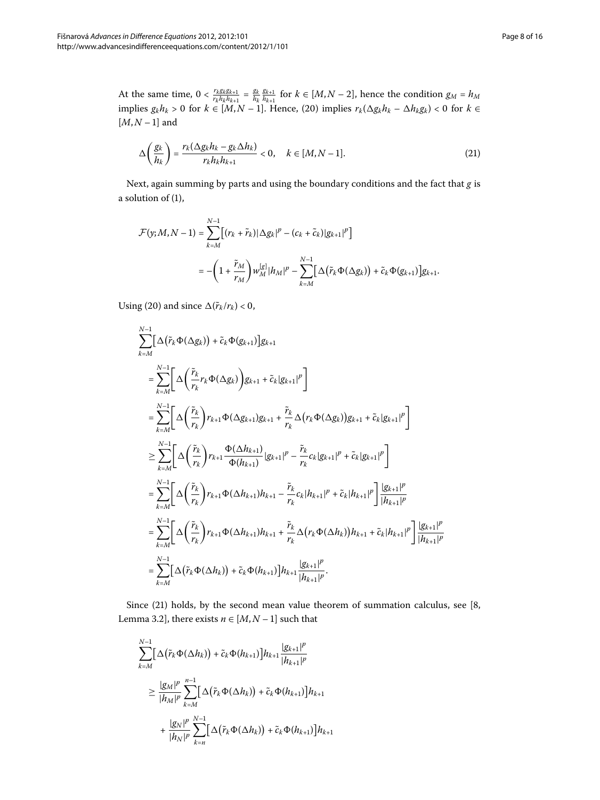At the same time,  $0 < \frac{r_k g_k g_{k+1}}{r_k h_k h_{k+1}} = \frac{g_k}{h_k}$  $\frac{g_{k+1}}{h_{k+1}}$  for  $k \in [M, N-2]$ , hence the condition  $g_M = h_M$ implies  $g_k h_k > 0$  for  $k \in [M, N - 1]$ . Hence, (20) implies  $r_k(\Delta g_k h_k - \Delta h_k g_k) < 0$  for  $k \in$  $[M, N - 1]$  and

<span id="page-7-0"></span>
$$
\Delta\left(\frac{g_k}{h_k}\right) = \frac{r_k(\Delta g_k h_k - g_k \Delta h_k)}{r_k h_k h_{k+1}} < 0, \quad k \in [M, N-1].
$$
\n(21)

Next, again summing by parts and using the boundary conditions and the fact that *g* is a solution of (1),

$$
\mathcal{F}(y; M, N-1) = \sum_{k=M}^{N-1} \left[ (r_k + \tilde{r}_k) |\Delta g_k|^p - (c_k + \tilde{c}_k) |g_{k+1}|^p \right]
$$
  

$$
= -\left( 1 + \frac{\tilde{r}_M}{r_M} \right) w_M^{[g]} |h_M|^p - \sum_{k=M}^{N-1} \left[ \Delta \left( \tilde{r}_k \Phi(\Delta g_k) \right) + \tilde{c}_k \Phi(g_{k+1}) \right] g_{k+1}.
$$

Using (20) and since  $\Delta(\tilde{r}_k/r_k) < 0$ ,

$$
\sum_{k=M}^{N-1} \left[ \Delta \left( \tilde{r}_k \Phi(\Delta g_k) \right) + \tilde{c}_k \Phi(g_{k+1}) \right] g_{k+1}
$$
\n
$$
= \sum_{k=M}^{N-1} \left[ \Delta \left( \frac{\tilde{r}_k}{r_k} r_k \Phi(\Delta g_k) \right) g_{k+1} + \tilde{c}_k |g_{k+1}|^p \right]
$$
\n
$$
= \sum_{k=M}^{N-1} \left[ \Delta \left( \frac{\tilde{r}_k}{r_k} \right) r_{k+1} \Phi(\Delta g_{k+1}) g_{k+1} + \frac{\tilde{r}_k}{r_k} \Delta \left( r_k \Phi(\Delta g_k) \right) g_{k+1} + \tilde{c}_k |g_{k+1}|^p \right]
$$
\n
$$
\geq \sum_{k=M}^{N-1} \left[ \Delta \left( \frac{\tilde{r}_k}{r_k} \right) r_{k+1} \frac{\Phi(\Delta h_{k+1})}{\Phi(h_{k+1})} |g_{k+1}|^p - \frac{\tilde{r}_k}{r_k} c_k |g_{k+1}|^p + \tilde{c}_k |g_{k+1}|^p \right]
$$
\n
$$
= \sum_{k=M}^{N-1} \left[ \Delta \left( \frac{\tilde{r}_k}{r_k} \right) r_{k+1} \Phi(\Delta h_{k+1}) h_{k+1} - \frac{\tilde{r}_k}{r_k} c_k |h_{k+1}|^p + \tilde{c}_k |h_{k+1}|^p \right] \frac{|g_{k+1}|^p}{|h_{k+1}|^p}
$$
\n
$$
= \sum_{k=M}^{N-1} \left[ \Delta \left( \frac{\tilde{r}_k}{r_k} \right) r_{k+1} \Phi(\Delta h_{k+1}) h_{k+1} + \frac{\tilde{r}_k}{r_k} \Delta \left( r_k \Phi(\Delta h_k) \right) h_{k+1} + \tilde{c}_k |h_{k+1}|^p \right] \frac{|g_{k+1}|^p}{|h_{k+1}|^p}
$$
\n
$$
= \sum_{k=M}^{N-1} \left[ \Delta \left( \tilde{r}_k \Phi(\Delta h_k) \right) + \tilde{c}_k \Phi(h_{k+1}) \right] h_{k+1} \frac{|g_{k+1}|^p}{|h_{k
$$

Since  $(21)$  $(21)$  holds, by the second mean value theorem of summation calculus, see [8, Lemma 3.2], there exists  $n \in [M, N-1]$  such that

$$
\sum_{k=M}^{N-1} \left[ \Delta \left( \tilde{r}_k \Phi(\Delta h_k) \right) + \tilde{c}_k \Phi(h_{k+1}) \right] h_{k+1} \frac{|g_{k+1}|^p}{|h_{k+1}|^p}
$$
\n
$$
\geq \frac{|g_M|^p}{|h_M|^p} \sum_{k=M}^{n-1} \left[ \Delta \left( \tilde{r}_k \Phi(\Delta h_k) \right) + \tilde{c}_k \Phi(h_{k+1}) \right] h_{k+1}
$$
\n
$$
+ \frac{|g_N|^p}{|h_N|^p} \sum_{k=n}^{N-1} \left[ \Delta \left( \tilde{r}_k \Phi(\Delta h_k) \right) + \tilde{c}_k \Phi(h_{k+1}) \right] h_{k+1}
$$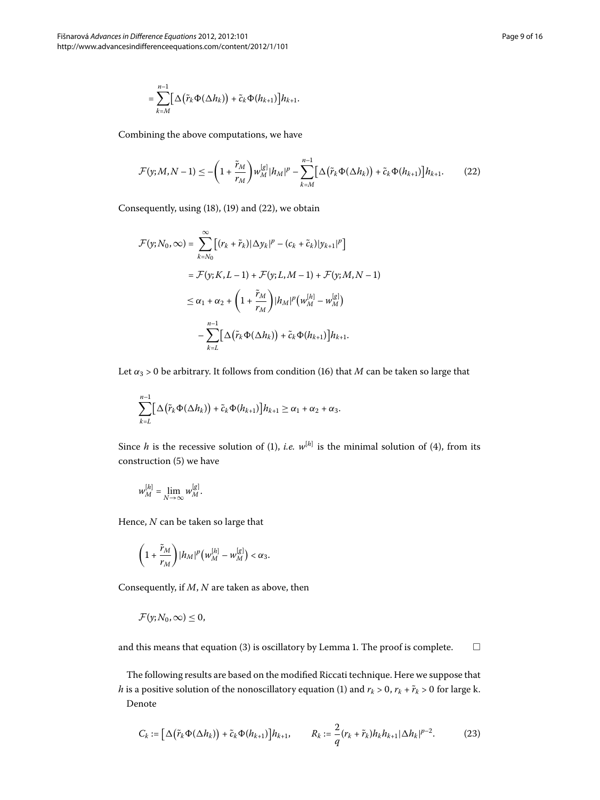<span id="page-8-0"></span>
$$
= \sum_{k=M}^{n-1} \bigl[ \Delta \bigl( \tilde{r}_k \Phi(\Delta h_k) \bigr) + \tilde{c}_k \Phi(h_{k+1}) \bigr] h_{k+1}.
$$

Combining the above computations, we have

$$
\mathcal{F}(y;M,N-1) \leq -\left(1+\frac{\tilde{r}_M}{r_M}\right) w_M^{[g]}|h_M|^p - \sum_{k=M}^{n-1} \left[\Delta\big(\tilde{r}_k \Phi(\Delta h_k)\big) + \tilde{c}_k \Phi(h_{k+1})\right]h_{k+1}.\tag{22}
$$

Consequently, using  $(18)$  $(18)$  $(18)$ ,  $(19)$  and  $(22)$ , we obtain

$$
\mathcal{F}(y; N_0, \infty) = \sum_{k=N_0}^{\infty} \left[ (r_k + \tilde{r}_k) |\Delta y_k|^p - (c_k + \tilde{c}_k) |y_{k+1}|^p \right]
$$
  
\n
$$
= \mathcal{F}(y; K, L-1) + \mathcal{F}(y; L, M-1) + \mathcal{F}(y; M, N-1)
$$
  
\n
$$
\leq \alpha_1 + \alpha_2 + \left( 1 + \frac{\tilde{r}_M}{r_M} \right) |h_M|^p \left( w_M^{[h]} - w_M^{[g]} \right)
$$
  
\n
$$
- \sum_{k=L}^{n-1} \left[ \Delta \left( \tilde{r}_k \Phi(\Delta h_k) \right) + \tilde{c}_k \Phi(h_{k+1}) \right] h_{k+1}.
$$

Let  $\alpha_3 > 0$  be arbitrary. It follows from condition (16[\)](#page-5-1) that *M* can be taken so large that

$$
\sum_{k=L}^{n-1} \bigl[ \Delta \bigl( \tilde{r}_k \Phi(\Delta h_k) \bigr) + \tilde{c}_k \Phi(h_{k+1}) \bigr] h_{k+1} \geq \alpha_1 + \alpha_2 + \alpha_3.
$$

Since *h* is the recessive solution of (1[\)](#page-0-1), *i.e.*  $w^{[h]}$  is the minimal solution of (4), from its construction  $(5)$  we have

$$
w^{[h]}_M=\lim_{N\to\infty}w^{[g]}_M.
$$

Hence, *N* can be taken so large that

$$
\left(1+\frac{\tilde{r}_M}{r_M}\right)|h_M|^p\big(w^{[h]}_M-w^{[g]}_M\big)<\alpha_3.
$$

Consequently, if *M*, *N* are taken as above, then

$$
\mathcal{F}(y;N_0,\infty)\leq 0,
$$

and this means that equation  $(3)$  $(3)$  is oscillatory by Lemma 1[.](#page-1-1) The proof is complete.  $\Box$ 

The following results are based on the modified Riccati technique. Here we suppose that *h* is a positive solution of the nonoscillatory equation (1[\)](#page-0-1) and  $r_k > 0$ ,  $r_k + \tilde{r}_k > 0$  for large k. Denote

$$
C_k := \left[\Delta\big(\tilde{r}_k\Phi(\Delta h_k)\big) + \tilde{c}_k\Phi(h_{k+1})\right]h_{k+1}, \qquad R_k := \frac{2}{q}(r_k + \tilde{r}_k)h_kh_{k+1}|\Delta h_k|^{p-2}.\tag{23}
$$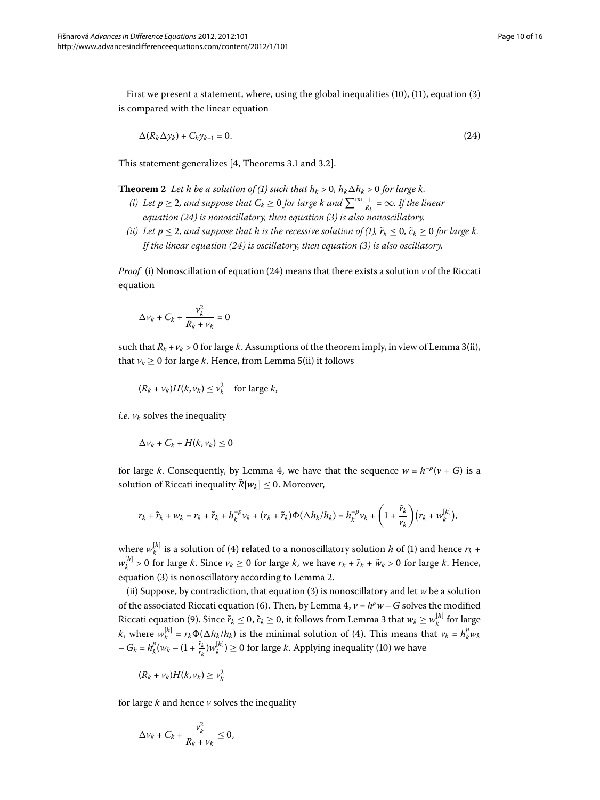<span id="page-9-1"></span>First we present a statement, where, using the global inequalities  $(10)$  $(10)$ ,  $(11)$ , equation  $(3)$ is compared with the linear equation

<span id="page-9-0"></span>
$$
\Delta(R_k \Delta y_k) + C_k y_{k+1} = 0. \tag{24}
$$

This statement generalizes  $[4,$  Theorems 3.1 and 3.2].

**Theorem 2** Let h be a solution of (1[\)](#page-0-1) such that  $h_k > 0$ ,  $h_k \Delta h_k > 0$  for large k.

- *(i)* Let  $p \ge 2$ , and suppose that  $C_k \ge 0$  for large  $k$  and  $\sum^{\infty} \frac{1}{R_k} = \infty$ . If the linear *equation [\(\)](#page-9-0) is nonoscillatory, then equation [\(](#page-0-3)) is also nonoscillatory.*
- *(ii[\)](#page-0-1)* Let  $p \le 2$ , and suppose that h is the recessive solution of (1),  $\tilde{r}_k \le 0$ ,  $\tilde{c}_k \ge 0$  for large k. *If the linear equation [\(\)](#page-9-0) is oscillatory, then equation [\(](#page-0-3)) is also oscillatory.*

*Proof* (i[\)](#page-9-0) Nonoscillation of equation (24) means that there exists a solution  $\nu$  of the Riccati equation

$$
\Delta v_k + C_k + \frac{v_k^2}{R_k + v_k} = 0
$$

such that  $R_k + v_k > 0$  for large *k*. Assumptions of the theorem imply, in view of Lemma 3(ii), that  $v_k \geq 0$  for large *k*. Hence, from Lemma 5[\(](#page-3-4)ii) it follows

$$
(R_k + \nu_k)H(k, \nu_k) \leq \nu_k^2 \quad \text{for large } k,
$$

*i.e.*  $v_k$  solves the inequality

$$
\Delta v_k + C_k + H(k, v_k) \leq 0
$$

for large *k*. Consequently, by Lemma 4, we have that the sequence  $w = h^{-p}(v + G)$  is a solution of Riccati inequality  $\tilde{R}[w_k] \leq 0$ . Moreover,

$$
r_k+\tilde{r}_k+w_k=r_k+\tilde{r}_k+h_k^{-p}v_k+(r_k+\tilde{r}_k)\Phi(\Delta h_k/h_k)=h_k^{-p}v_k+\left(1+\frac{\tilde{r}_k}{r_k}\right)(r_k+w_k^{[h]}),
$$

where  $w_k^{[h]}$  is a solution of [\(](#page-0-1)4) related to a nonoscillatory solution *h* of (1) and hence  $r_k$  +  $w_k^{[h]} > 0$  for large *k*. Since  $v_k \ge 0$  for large *k*, we have  $r_k + \tilde{r}_k + \tilde{w}_k > 0$  for large *k*. Hence, equation (3[\)](#page-0-3) is nonoscillatory according to Lemma 2[.](#page-1-2)

[\(](#page-0-3)ii) Suppose, by contradiction, that equation (3) is nonoscillatory and let *w* be a solution of the associated Riccati equation (6). Then, by Lemma 4,  $v = h^p w - G$  solves the modified Riccati equation (9[\)](#page-3-2). Since  $\tilde{r}_k \le 0$ ,  $\tilde{c}_k \ge 0$ , it follows from Lemma 3 that  $w_k \ge w_k^{[h]}$  for large *k*, where  $w_k^{[h]} = r_k \Phi(\Delta h_k / h_k)$  is the minimal solution of (4). This means that  $v_k = h_k^p w_k$  $-G_k = h_k^p(w_k - (1 + \frac{\tilde{r}_k}{r_k})w_k^{[h]}) \ge 0$  for large *k*. Applying inequality (10) we have

$$
(R_k + \nu_k)H(k, \nu_k) \geq \nu_k^2
$$

for large  $k$  and hence  $\nu$  solves the inequality

$$
\Delta v_k + C_k + \frac{v_k^2}{R_k + v_k} \leq 0,
$$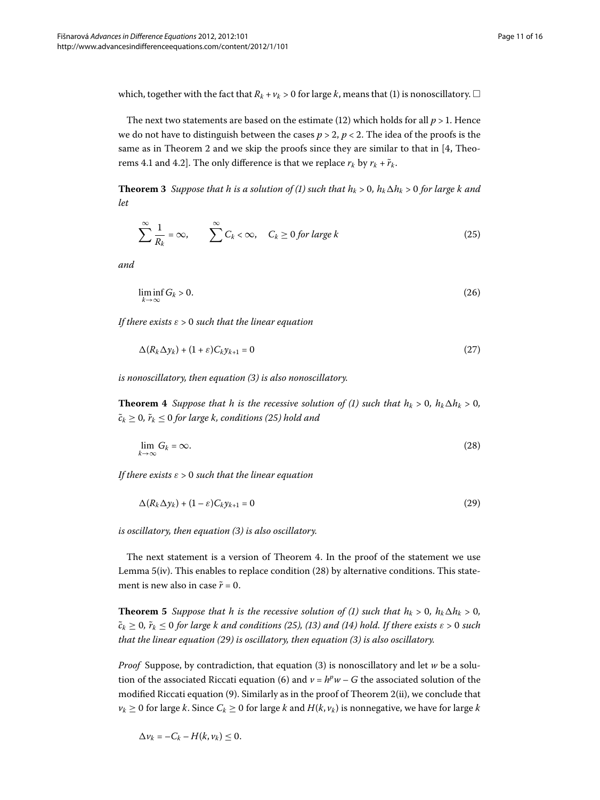<span id="page-10-6"></span>which, together with the fact that  $R_k$  +  $\nu_k$  > 0 for large  $k$ , means that (1[\)](#page-0-1) is nonoscillatory.  $\Box$ 

The next two statements are based on the estimate [\(](#page-4-0)12) which holds for all  $p > 1$ . Hence we do not have to distinguish between the cases  $p > 2$ ,  $p < 2$ . The idea of the proofs is the same as in Theorem 2 and we skip the proofs since they are similar to that in  $[4,$  Theorems 4.1 and 4.2]. The only difference is that we replace  $r_k$  by  $r_k + \tilde{r}_k$ .

**Theorem 3** Suppose that h is a solution of [\(](#page-0-1)1) such that  $h_k > 0$ ,  $h_k \Delta h_k > 0$  for large k and *let*

<span id="page-10-5"></span><span id="page-10-0"></span>
$$
\sum_{k=1}^{\infty} \frac{1}{R_k} = \infty, \qquad \sum_{k=1}^{\infty} C_k < \infty, \quad C_k \ge 0 \text{ for large } k \tag{25}
$$

*and*

<span id="page-10-4"></span>
$$
\liminf_{k \to \infty} G_k > 0. \tag{26}
$$

<span id="page-10-1"></span>*If there exists ε* > *such that the linear equation*

<span id="page-10-2"></span>
$$
\Delta(R_k \Delta y_k) + (1 + \varepsilon) C_k y_{k+1} = 0 \tag{27}
$$

*is nonoscillatory, then equation () is also nonoscillatory.*

**Theorem 4** Suppose that h is the recessive solution of (1) such that  $h_k > 0$ ,  $h_k \Delta h_k > 0$ ,  $\tilde{c}_k \geq 0$ ,  $\tilde{r}_k \leq 0$  for large k, conditions [\(](#page-10-0)25) hold and

<span id="page-10-3"></span>
$$
\lim_{k \to \infty} G_k = \infty. \tag{28}
$$

*If there exists ε* > *such that the linear equation*

$$
\Delta(R_k \Delta y_k) + (1 - \varepsilon) C_k y_{k+1} = 0 \tag{29}
$$

<span id="page-10-7"></span>*is oscillatory, then equation ([\)](#page-0-3) is also oscillatory.*

The next statement is a version of Theorem 4. In the proof of the statement we use Lemma  $5(iv)$  $5(iv)$  $5(iv)$ . This enables to replace condition (28) by alternative conditions. This statement is new also in case  $\tilde{r} = 0$ .

**Theorem 5** Suppose that h is the recessive solution of (1[\)](#page-0-1) such that  $h_k > 0$ ,  $h_k \Delta h_k > 0$ ,  $\tilde{c}_k \geq 0$ ,  $\tilde{r}_k \leq 0$  for large k and conditions [\(](#page-4-1)25), (13) and (14) hold. If there exists  $\varepsilon > 0$  such *that the linear equation (29) is oscillatory, then equation (3) is also oscillatory.* 

*Proof* Suppose, by contradiction, that equation (3[\)](#page-0-3) is nonoscillatory and let *w* be a solution of the associated Riccati equation (6) and  $v = h^p w - G$  the associated solution of the modified Riccati equation [\(](#page-9-1)9). Similarly as in the proof of Theorem 2(ii), we conclude that *v<sub>k</sub>* ≥ 0 for large *k*. Since  $C_k$  ≥ 0 for large *k* and  $H(k, v_k)$  is nonnegative, we have for large *k* 

$$
\Delta v_k = -C_k - H(k, v_k) \leq 0.
$$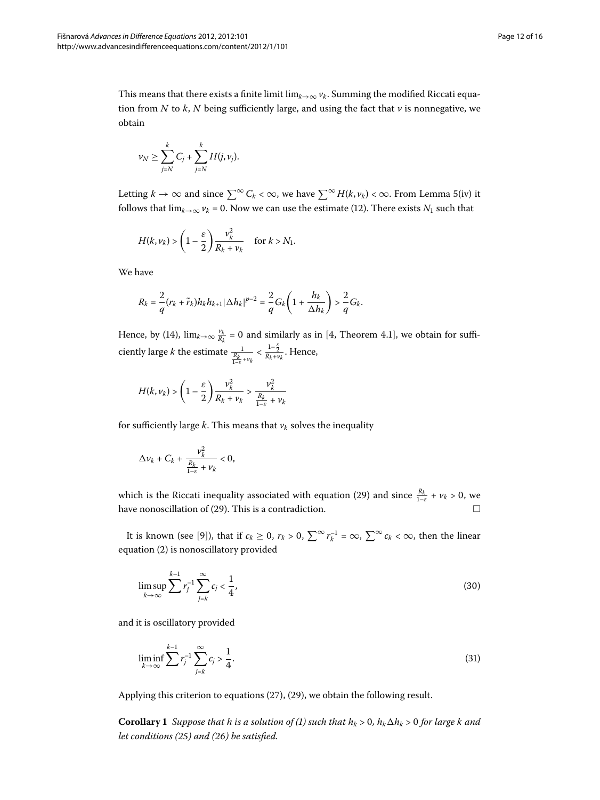This means that there exists a finite limit lim<sub> $k\rightarrow\infty$ </sub>  $\nu_k$ . Summing the modified Riccati equation from *N* to *k*, *N* being sufficiently large, and using the fact that  $\nu$  is nonnegative, we obtain

$$
\nu_N \geq \sum_{j=N}^k C_j + \sum_{j=N}^k H(j, \nu_j).
$$

Letting *k* → ∞ and since  $\sum^{\infty} C_k < \infty$ , we have  $\sum^{\infty} H(k, v_k) < \infty$  $\sum^{\infty} H(k, v_k) < \infty$  $\sum^{\infty} H(k, v_k) < \infty$ . From Lemma 5(iv) it follows that  $\lim_{k\to\infty} v_k = 0$ . Now we can use the estimate (12[\)](#page-4-0). There exists  $N_1$  such that

$$
H(k,\nu_k) > \left(1-\frac{\varepsilon}{2}\right)\frac{\nu_k^2}{R_k+\nu_k} \quad \text{ for } k > N_1.
$$

We have

$$
R_k=\frac{2}{q}(r_k+\tilde{r}_k)h_kh_{k+1}|\Delta h_k|^{p-2}=\frac{2}{q}G_k\left(1+\frac{h_k}{\Delta h_k}\right)>\frac{2}{q}G_k.
$$

Hence, by (14[\)](#page-4-2)[,](#page-14-3)  $\lim_{k\to\infty} \frac{v_k}{R_k} = 0$  and similarly as in [4, Theorem 4.1], we obtain for sufficiently large *k* the estimate  $\frac{1}{\frac{R_k}{1-\varepsilon} + v_k} < \frac{1-\frac{\varepsilon}{2}}{R_k+v_k}$ . Hence,

$$
H(k,\nu_k) > \left(1-\frac{\varepsilon}{2}\right)\frac{\nu_k^2}{R_k+\nu_k} > \frac{\nu_k^2}{\frac{R_k}{1-\varepsilon}+\nu_k}
$$

for sufficiently large  $k$ . This means that  $v_k$  solves the inequality

$$
\Delta v_k + C_k + \frac{v_k^2}{\frac{R_k}{1-\varepsilon} + v_k} < 0,
$$

which is the Riccati inequality associated with equation [\(](#page-10-3)29) and since  $\frac{R_k}{1-\varepsilon} + v_k > 0$ , we have nonoscillation of (29). This is a contradiction.  $\Box$ 

It is known (see [9[\]](#page-14-8)), that if  $c_k \ge 0$ ,  $r_k > 0$ ,  $\sum^{\infty} r_k^{-1} = \infty$ ,  $\sum^{\infty} c_k < \infty$ , then the linear equation (2[\)](#page-0-2) is nonoscillatory provided

$$
\limsup_{k \to \infty} \sum_{j=k}^{k-1} r_j^{-1} \sum_{j=k}^{\infty} c_j < \frac{1}{4},\tag{30}
$$

<span id="page-11-0"></span>and it is oscillatory provided

$$
\liminf_{k \to \infty} \sum_{j=k}^{k-1} r_j^{-1} \sum_{j=k}^{\infty} c_j > \frac{1}{4}.
$$
\n(31)

Applying this criterion to equations  $(27)$  $(27)$ ,  $(29)$ , we obtain the following result.

**Corollary 1** Suppose that h is a solution of (1[\)](#page-0-1) such that  $h_k > 0$ ,  $h_k \Delta h_k > 0$  for large k and *let conditions ([\)](#page-10-0) and [\(](#page-10-5)) be satisfied.*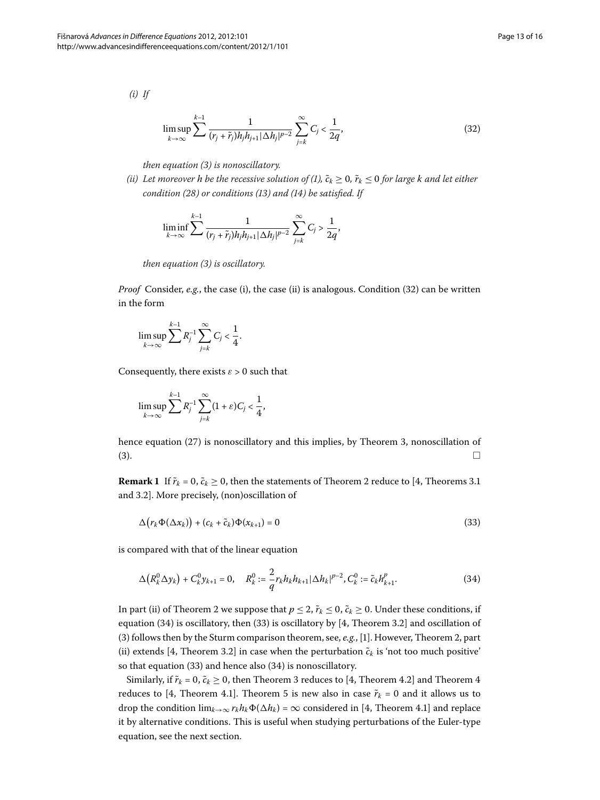*(i) If*

<span id="page-12-0"></span>
$$
\limsup_{k \to \infty} \sum_{j}^{k-1} \frac{1}{(r_j + \tilde{r}_j)h_j h_{j+1} |\Delta h_j|^{p-2}} \sum_{j=k}^{\infty} C_j < \frac{1}{2q},\tag{32}
$$

*then equation [\(](#page-0-3)) is nonoscillatory.*

*(ii[\)](#page-0-1)* Let moreover *h be the recessive solution of (1)*,  $\tilde{c}_k \geq 0$ ,  $\tilde{r}_k \leq 0$  for large *k* and let either *condition [\(\)](#page-10-2) or conditions ([\)](#page-4-1) and ([\)](#page-4-2) be satisfied. If*

$$
\liminf_{k\to\infty}\sum_{i}^{k-1}\frac{1}{(r_i+\tilde{r}_j)h_jh_{j+1}|\Delta h_j|^{p-2}}\sum_{j=k}^{\infty}C_j>\frac{1}{2q},
$$

*then equation [\(](#page-0-3)) is oscillatory.*

*Proof* Consider, *e.g.*, the case (i[\)](#page-12-0), the case (ii) is analogous. Condition (32) can be written in the form

$$
\limsup_{k\to\infty}\sum_{j=k}^{k-1}R_j^{-1}\sum_{j=k}^{\infty}C_j<\frac{1}{4}.
$$

Consequently, there exists  $\varepsilon > 0$  such that

<span id="page-12-2"></span>
$$
\limsup_{k\to\infty}\sum_{j=k}^{k-1}R_j^{-1}\sum_{j=k}^{\infty}(1+\varepsilon)C_j<\frac{1}{4},
$$

hence equation  $(27)$  $(27)$  is nonoscillatory and this implies[,](#page-10-6) by Theorem 3, nonoscillation of  $\Box$  (3[\)](#page-0-3).  $\Box$ 

**Remark 1** If  $\tilde{r}_k = 0$ ,  $\tilde{c}_k \ge 0$ , then the statements of Theorem 2 reduce to [4, Theorems 3.1 and 3.2]. More precisely, (non)oscillation of

<span id="page-12-1"></span>
$$
\Delta(r_k \Phi(\Delta x_k)) + (c_k + \tilde{c}_k) \Phi(x_{k+1}) = 0 \tag{33}
$$

is compared with that of the linear equation

$$
\Delta\left(R_k^0 \Delta y_k\right) + C_k^0 y_{k+1} = 0, \quad R_k^0 := \frac{2}{q} r_k h_k h_{k+1} |\Delta h_k|^{p-2}, C_k^0 := \tilde{c}_k h_{k+1}^p. \tag{34}
$$

In part (ii) of Theorem 2 we suppose that  $p \le 2$ ,  $\tilde{r}_k \le 0$ ,  $\tilde{c}_k \ge 0$ . Under these conditions, if equation (34[\)](#page-12-2) is oscillatory, then (33) is oscillatory by  $[4$  $[4$ , Theorem 3.2] and oscillation of (3[\)](#page-0-3) follows then by the Sturm comparison theorem, see, *e.g.*, [1]. However, Theorem 2, part (ii) extends [4, Theorem 3.2] in case when the perturbation  $\tilde{c}_k$  is 'not too much positive' so that equation  $(33)$  $(33)$  and hence also  $(34)$  is nonoscillatory.

Similarly, if  $\tilde{r}_k = 0$ ,  $\tilde{c}_k \ge 0$ , then Theorem 3 reduces to [4, Theorem 4.2] and Theorem 4 reduces to [4, Theorem 4.1]. Theorem 5 is new also in case  $\tilde{r}_k = 0$  and it allows us to drop the condition  $\lim_{k\to\infty} r_k h_k \Phi(\Delta h_k) = \infty$  considered in [\[](#page-14-3)4, Theorem 4.1] and replace it by alternative conditions. This is useful when studying perturbations of the Euler-type equation, see the next section.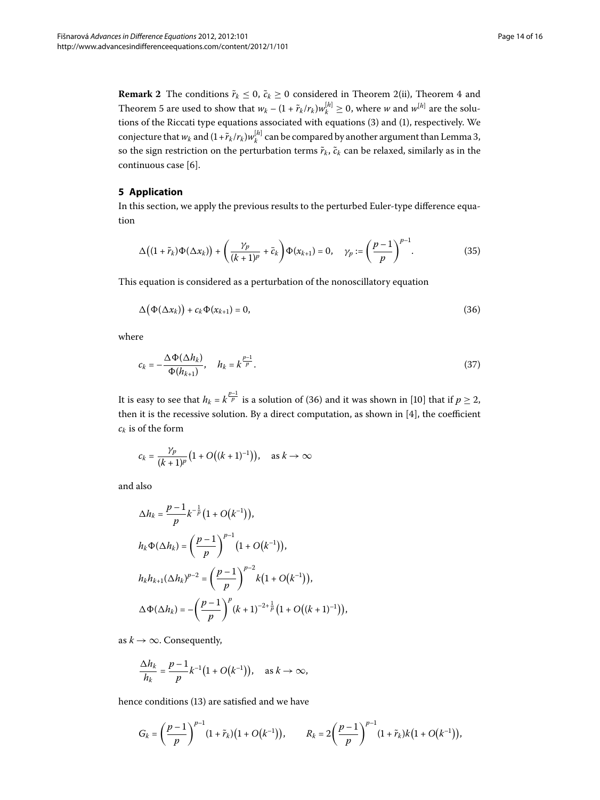**Remark 2** The conditions  $\tilde{r}_k \leq 0$ ,  $\tilde{c}_k \geq 0$  considered in Theorem 2[\(](#page-9-1)ii), Theorem 4 and Theorem 5 are used to show that  $w_k - (1 + \tilde{r}_k / r_k) w_k^{[h]} \ge 0$ , where *w* and  $w^{[h]}$  are the solu-tions of the Riccati type equations associated with equations [\(](#page-0-3)3) and (1), respectively. We conjecture that  $w_k$  and  $(1 + \tilde{r}_k/r_k)w_k^{[h]}$  can be compared by another argument than Lemma 3[,](#page-2-3) so the sign restriction on the perturbation terms  $\tilde{r}_k$ ,  $\tilde{c}_k$  can be relaxed, similarly as in the continuous case [6].

#### **5 Application**

In this section, we apply the previous results to the perturbed Euler-type difference equation

<span id="page-13-1"></span><span id="page-13-0"></span>
$$
\Delta\big((1+\tilde{r}_k)\Phi(\Delta x_k)\big)+\bigg(\frac{\gamma_p}{(k+1)^p}+\bar{c}_k\bigg)\Phi(x_{k+1})=0,\quad\gamma_p:=\bigg(\frac{p-1}{p}\bigg)^{p-1}.\tag{35}
$$

This equation is considered as a perturbation of the nonoscillatory equation

$$
\Delta\big(\Phi(\Delta x_k)\big) + c_k \Phi(x_{k+1}) = 0,\tag{36}
$$

where

$$
c_k = -\frac{\Delta \Phi(\Delta h_k)}{\Phi(h_{k+1})}, \quad h_k = k^{\frac{p-1}{p}}.
$$
\n(37)

It is easy to see that  $h_k = k^{\frac{p-1}{p}}$  is a solution of (36) and it was shown in [10[\]](#page-14-9) that if  $p \geq 2$ , then it is the recessive solution. By a direct computation, as shown in  $[4]$  $[4]$ , the coefficient *ck* is of the form

$$
c_k = \frac{\gamma_p}{(k+1)^p} \big( 1 + O\big( (k+1)^{-1} \big) \big), \quad \text{as } k \to \infty
$$

and also

$$
\Delta h_k = \frac{p-1}{p} k^{-\frac{1}{p}} (1 + O(k^{-1})),
$$
\n
$$
h_k \Phi(\Delta h_k) = \left(\frac{p-1}{p}\right)^{p-1} (1 + O(k^{-1})),
$$
\n
$$
h_k h_{k+1} (\Delta h_k)^{p-2} = \left(\frac{p-1}{p}\right)^{p-2} k (1 + O(k^{-1})),
$$
\n
$$
\Delta \Phi(\Delta h_k) = -\left(\frac{p-1}{p}\right)^p (k+1)^{-2+\frac{1}{p}} (1 + O((k+1)^{-1})),
$$

as  $k \to \infty$ . Consequently,

$$
\frac{\Delta h_k}{h_k} = \frac{p-1}{p} k^{-1} (1 + O(k^{-1})), \quad \text{as } k \to \infty,
$$

hence conditions (13) are satisfied and we have

$$
G_k = \left(\frac{p-1}{p}\right)^{p-1} (1+\tilde{r}_k) \big(1+O\big(k^{-1}\big)\big), \qquad R_k = 2\left(\frac{p-1}{p}\right)^{p-1} (1+\tilde{r}_k) k \big(1+O\big(k^{-1}\big)\big),
$$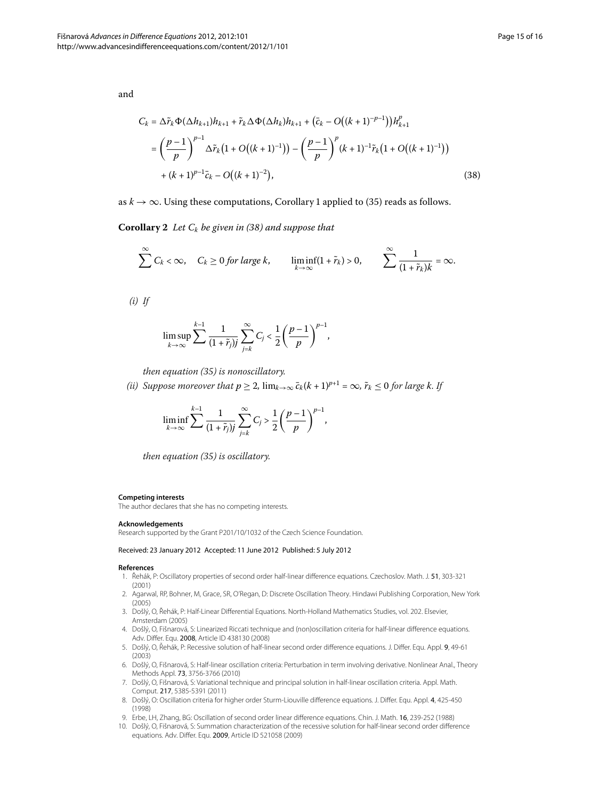and

<span id="page-14-10"></span>
$$
C_k = \Delta \tilde{r}_k \Phi(\Delta h_{k+1}) h_{k+1} + \tilde{r}_k \Delta \Phi(\Delta h_k) h_{k+1} + (\bar{c}_k - O((k+1)^{-p-1})) h_{k+1}^p
$$
  
= 
$$
\left(\frac{p-1}{p}\right)^{p-1} \Delta \tilde{r}_k \left(1 + O((k+1)^{-1})\right) - \left(\frac{p-1}{p}\right)^p (k+1)^{-1} \tilde{r}_k \left(1 + O((k+1)^{-1})\right)
$$
  
+ 
$$
(k+1)^{p-1} \bar{c}_k - O((k+1)^{-2}),
$$
 (38)

as  $k \to \infty$ . Using these computations, Corollary 1 applied to [\(](#page-13-1)35) reads as follows.

**Corollary 2** Let  $C_k$  be given in (38[\)](#page-14-10) and suppose that

$$
\sum_{k=1}^{\infty} C_k < \infty, \quad C_k \ge 0 \text{ for large } k, \quad \liminf_{k \to \infty} (1 + \tilde{r}_k) > 0, \quad \sum_{k=1}^{\infty} \frac{1}{(1 + \tilde{r}_k)k} = \infty.
$$

*(i) If*

$$
\limsup_{k\to\infty}\sum_{k=1}^{k-1}\frac{1}{(1+\tilde{r}_j)^j}\sum_{j=k}^{\infty}C_j<\frac{1}{2}\left(\frac{p-1}{p}\right)^{p-1},
$$

*then equation (35) is nonoscillatory.* 

*(ii)* Suppose moreover that  $p \geq 2$ ,  $\lim_{k \to \infty} \bar{c}_k (k+1)^{p+1} = \infty$ ,  $\tilde{r}_k \leq 0$  for large k. If

$$
\liminf_{k\to\infty}\sum_{j=1}^{k-1}\frac{1}{(1+\tilde{r}_j)j}\sum_{j=k}^{\infty}C_j > \frac{1}{2}\left(\frac{p-1}{p}\right)^{p-1},
$$

*then equation (35) is oscillatory.* 

#### <span id="page-14-0"></span>**Competing interests**

<span id="page-14-1"></span>The author declares that she has no competing interests.

#### <span id="page-14-2"></span>**Acknowledgements**

<span id="page-14-3"></span>Research supported by the Grant P201/10/1032 of the Czech Science Foundation.

#### <span id="page-14-4"></span>Received: 23 January 2012 Accepted: 11 June 2012 Published: 5 July 2012

#### <span id="page-14-6"></span><span id="page-14-5"></span>**References**

- 1. Řehák, P: Oscillatory properties of second order half-linear difference equations. Czechoslov. Math. J. 51, 303-321 (2001)
- 2. Agarwal, RP, Bohner, M, Grace, SR, O'Regan, D: Discrete Oscillation Theory. Hindawi Publishing Corporation, New York (2005)
- <span id="page-14-7"></span>3. Došlý, O, Řehák, P: Half-Linear Differential Equations. North-Holland Mathematics Studies, vol. 202. Elsevier, Amsterdam (2005)
- <span id="page-14-9"></span><span id="page-14-8"></span>4. Došlý, O, Fišnarová, S: Linearized Riccati technique and (non)oscillation criteria for half-linear difference equations. Adv. Differ. Equ. 2008, Article ID 438130 (2008)
- 5. Došlý, O, Řehák, P: Recessive solution of half-linear second order difference equations. J. Differ. Equ. Appl. 9, 49-61 (2003)
- 6. Došlý, O, Fišnarová, S: Half-linear oscillation criteria: Perturbation in term involving derivative. Nonlinear Anal., Theory Methods Appl. 73, 3756-3766 (2010)
- 7. Došlý, O, Fišnarová, S: Variational technique and principal solution in half-linear oscillation criteria. Appl. Math. Comput. 217, 5385-5391 (2011)
- 8. Došlý, O: Oscillation criteria for higher order Sturm-Liouville difference equations. J. Differ. Equ. Appl. 4, 425-450 (1998)
- 9. Erbe, LH, Zhang, BG: Oscillation of second order linear difference equations. Chin. J. Math. 16, 239-252 (1988)
- 10. Došlý, O, Fišnarová, S: Summation characterization of the recessive solution for half-linear second order difference equations. Adv. Differ. Equ. 2009, Article ID 521058 (2009)